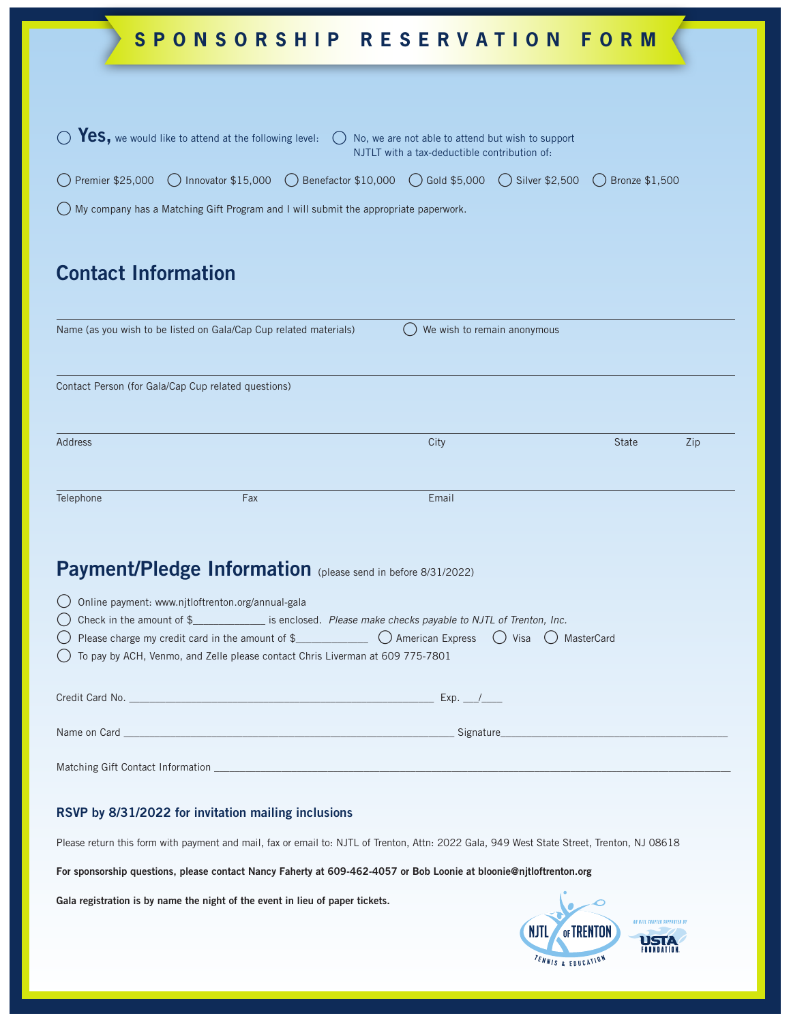| SPONSORSHIP RESERVATION FORM                                                                                                                                                                                   |     |                             |              |     |
|----------------------------------------------------------------------------------------------------------------------------------------------------------------------------------------------------------------|-----|-----------------------------|--------------|-----|
|                                                                                                                                                                                                                |     |                             |              |     |
| Yes, we would like to attend at the following level:<br>No, we are not able to attend but wish to support<br>NJTLT with a tax-deductible contribution of:                                                      |     |                             |              |     |
| ◯ Innovator \$15,000 ( Benefactor \$10,000 ( Gold \$5,000<br>Premier \$25,000<br>$\bigcirc$ Silver \$2,500<br>Bronze \$1,500                                                                                   |     |                             |              |     |
| My company has a Matching Gift Program and I will submit the appropriate paperwork.                                                                                                                            |     |                             |              |     |
|                                                                                                                                                                                                                |     |                             |              |     |
| <b>Contact Information</b>                                                                                                                                                                                     |     |                             |              |     |
|                                                                                                                                                                                                                |     |                             |              |     |
| Name (as you wish to be listed on Gala/Cap Cup related materials)                                                                                                                                              |     | We wish to remain anonymous |              |     |
|                                                                                                                                                                                                                |     |                             |              |     |
| Contact Person (for Gala/Cap Cup related questions)                                                                                                                                                            |     |                             |              |     |
|                                                                                                                                                                                                                |     |                             |              |     |
| Address                                                                                                                                                                                                        |     | City                        | <b>State</b> | Zip |
|                                                                                                                                                                                                                |     |                             |              |     |
| Telephone                                                                                                                                                                                                      | Fax | Email                       |              |     |
|                                                                                                                                                                                                                |     |                             |              |     |
| Payment/Pledge Information (please send in before 8/31/2022)                                                                                                                                                   |     |                             |              |     |
| Online payment: www.njtloftrenton.org/annual-gala                                                                                                                                                              |     |                             |              |     |
| Check in the amount of \$__________________ is enclosed. Please make checks payable to NJTL of Trenton, Inc.                                                                                                   |     |                             |              |     |
| Please charge my credit card in the amount of $\frac{1}{2}$ $\bigcirc$ American Express $\bigcirc$ Visa $\bigcirc$ MasterCard<br>To pay by ACH, Venmo, and Zelle please contact Chris Liverman at 609 775-7801 |     |                             |              |     |
|                                                                                                                                                                                                                |     |                             |              |     |
|                                                                                                                                                                                                                |     |                             |              |     |
|                                                                                                                                                                                                                |     |                             |              |     |
|                                                                                                                                                                                                                |     |                             |              |     |
| RSVP by 8/31/2022 for invitation mailing inclusions                                                                                                                                                            |     |                             |              |     |

Please return this form with payment and mail, fax or email to: NJTL of Trenton, Attn: 2022 Gala, 949 West State Street, Trenton, NJ 08618

**For sponsorship questions, please contact Nancy Faherty at 609-462-4057 or Bob Loonie at bloonie@njtloftrenton.org**

**Gala registration is by name the night of the event in lieu of paper tickets.**